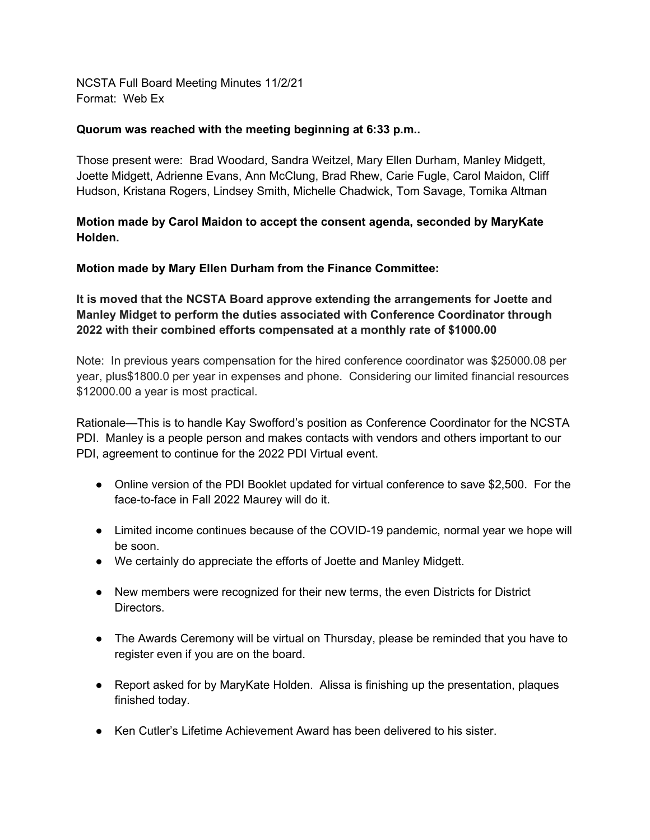NCSTA Full Board Meeting Minutes 11/2/21 Format: Web Ex

## **Quorum was reached with the meeting beginning at 6:33 p.m..**

Those present were: Brad Woodard, Sandra Weitzel, Mary Ellen Durham, Manley Midgett, Joette Midgett, Adrienne Evans, Ann McClung, Brad Rhew, Carie Fugle, Carol Maidon, Cliff Hudson, Kristana Rogers, Lindsey Smith, Michelle Chadwick, Tom Savage, Tomika Altman

**Motion made by Carol Maidon to accept the consent agenda, seconded by MaryKate Holden.**

**Motion made by Mary Ellen Durham from the Finance Committee:**

**It is moved that the NCSTA Board approve extending the arrangements for Joette and Manley Midget to perform the duties associated with Conference Coordinator through 2022 with their combined efforts compensated at a monthly rate of \$1000.00**

Note: In previous years compensation for the hired conference coordinator was \$25000.08 per year, plus\$1800.0 per year in expenses and phone. Considering our limited financial resources \$12000.00 a year is most practical.

Rationale—This is to handle Kay Swofford's position as Conference Coordinator for the NCSTA PDI. Manley is a people person and makes contacts with vendors and others important to our PDI, agreement to continue for the 2022 PDI Virtual event.

- Online version of the PDI Booklet updated for virtual conference to save \$2,500. For the face-to-face in Fall 2022 Maurey will do it.
- Limited income continues because of the COVID-19 pandemic, normal year we hope will be soon.
- We certainly do appreciate the efforts of Joette and Manley Midgett.
- New members were recognized for their new terms, the even Districts for District Directors.
- The Awards Ceremony will be virtual on Thursday, please be reminded that you have to register even if you are on the board.
- Report asked for by MaryKate Holden. Alissa is finishing up the presentation, plaques finished today.
- Ken Cutler's Lifetime Achievement Award has been delivered to his sister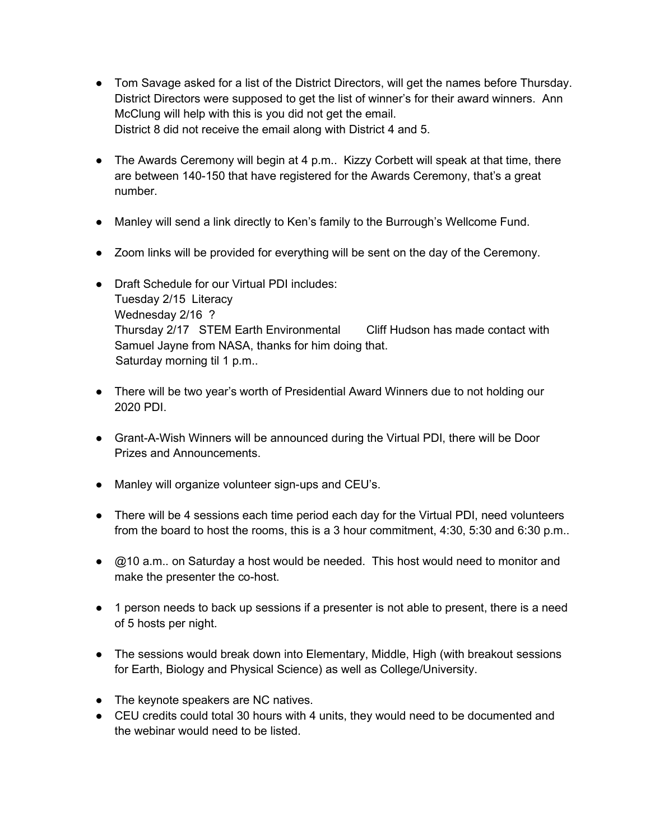- Tom Savage asked for a list of the District Directors, will get the names before Thursday. District Directors were supposed to get the list of winner's for their award winners. Ann McClung will help with this is you did not get the email. District 8 did not receive the email along with District 4 and 5.
- The Awards Ceremony will begin at 4 p.m.. Kizzy Corbett will speak at that time, there are between 140-150 that have registered for the Awards Ceremony, that's a great number.
- Manley will send a link directly to Ken's family to the Burrough's Wellcome Fund.
- Zoom links will be provided for everything will be sent on the day of the Ceremony.
- Draft Schedule for our Virtual PDI includes: Tuesday 2/15 Literacy Wednesday 2/16 ? Thursday 2/17 STEM Earth Environmental Cliff Hudson has made contact with Samuel Jayne from NASA, thanks for him doing that. Saturday morning til 1 p.m..
- There will be two year's worth of Presidential Award Winners due to not holding our 2020 PDI.
- Grant-A-Wish Winners will be announced during the Virtual PDI, there will be Door Prizes and Announcements.
- Manley will organize volunteer sign-ups and CEU's.
- There will be 4 sessions each time period each day for the Virtual PDI, need volunteers from the board to host the rooms, this is a 3 hour commitment, 4:30, 5:30 and 6:30 p.m..
- $\bullet$   $\oslash$  210 a.m., on Saturday a host would be needed. This host would need to monitor and make the presenter the co-host.
- 1 person needs to back up sessions if a presenter is not able to present, there is a need of 5 hosts per night.
- The sessions would break down into Elementary, Middle, High (with breakout sessions for Earth, Biology and Physical Science) as well as College/University.
- The keynote speakers are NC natives.
- CEU credits could total 30 hours with 4 units, they would need to be documented and the webinar would need to be listed.